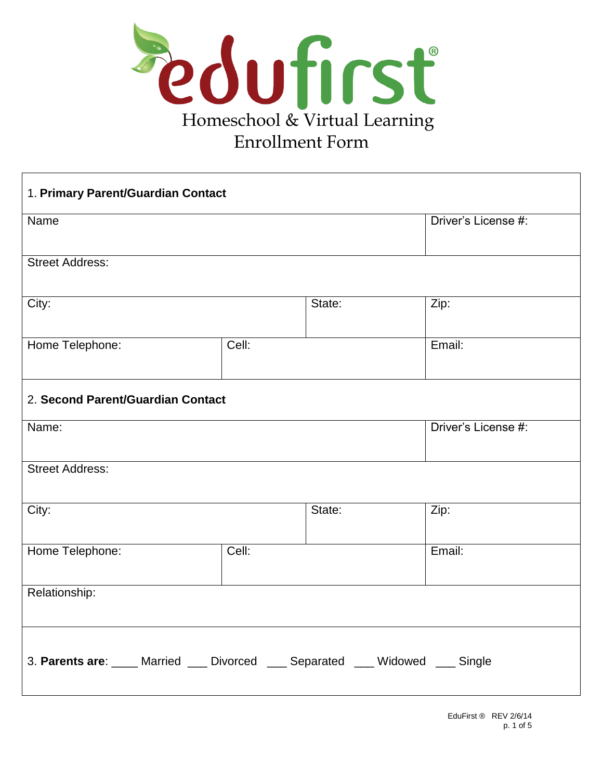

| 1. Primary Parent/Guardian Contact                                             |       |        |                     |  |
|--------------------------------------------------------------------------------|-------|--------|---------------------|--|
| Name                                                                           |       |        | Driver's License #: |  |
| <b>Street Address:</b>                                                         |       |        |                     |  |
| City:                                                                          |       | State: | Zip:                |  |
| Home Telephone:                                                                | Cell: |        | Email:              |  |
| 2. Second Parent/Guardian Contact                                              |       |        |                     |  |
| Name:                                                                          |       |        | Driver's License #: |  |
| <b>Street Address:</b>                                                         |       |        |                     |  |
| City:                                                                          |       | State: | Zip:                |  |
| Home Telephone:                                                                | Cell: |        | Email:              |  |
| Relationship:                                                                  |       |        |                     |  |
| 3. Parents are: ____ Married ___ Divorced ___ Separated ___ Widowed ___ Single |       |        |                     |  |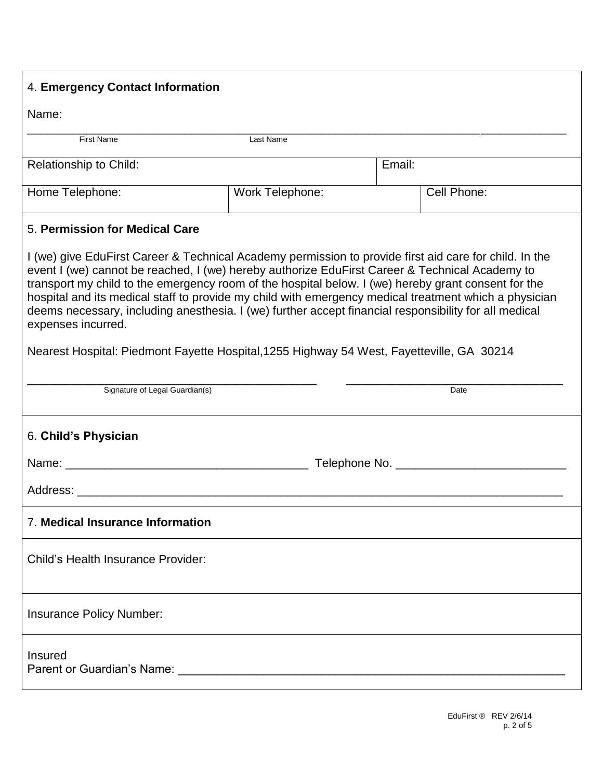| 4. Emergency Contact Information                                                                                                                                                                                                                                                                                                                                                                                                                                                                                                                                                                                                                                                                                                 |                 |        |             |  |
|----------------------------------------------------------------------------------------------------------------------------------------------------------------------------------------------------------------------------------------------------------------------------------------------------------------------------------------------------------------------------------------------------------------------------------------------------------------------------------------------------------------------------------------------------------------------------------------------------------------------------------------------------------------------------------------------------------------------------------|-----------------|--------|-------------|--|
| Name:                                                                                                                                                                                                                                                                                                                                                                                                                                                                                                                                                                                                                                                                                                                            |                 |        |             |  |
| <b>First Name</b>                                                                                                                                                                                                                                                                                                                                                                                                                                                                                                                                                                                                                                                                                                                | Last Name       |        |             |  |
| <b>Relationship to Child:</b>                                                                                                                                                                                                                                                                                                                                                                                                                                                                                                                                                                                                                                                                                                    |                 | Email: |             |  |
| Home Telephone:                                                                                                                                                                                                                                                                                                                                                                                                                                                                                                                                                                                                                                                                                                                  | Work Telephone: |        | Cell Phone: |  |
| 5. Permission for Medical Care<br>I (we) give EduFirst Career & Technical Academy permission to provide first aid care for child. In the<br>event I (we) cannot be reached, I (we) hereby authorize EduFirst Career & Technical Academy to<br>transport my child to the emergency room of the hospital below. I (we) hereby grant consent for the<br>hospital and its medical staff to provide my child with emergency medical treatment which a physician<br>deems necessary, including anesthesia. I (we) further accept financial responsibility for all medical<br>expenses incurred.<br>Nearest Hospital: Piedmont Fayette Hospital, 1255 Highway 54 West, Fayetteville, GA 30214<br>Signature of Legal Guardian(s)<br>Date |                 |        |             |  |
| 6. Child's Physician<br>Address: Analysis and the contract of the contract of the contract of the contract of the contract of the contract of the contract of the contract of the contract of the contract of the contract of the contract of the cont                                                                                                                                                                                                                                                                                                                                                                                                                                                                           |                 |        |             |  |
| 7. Medical Insurance Information                                                                                                                                                                                                                                                                                                                                                                                                                                                                                                                                                                                                                                                                                                 |                 |        |             |  |
| Child's Health Insurance Provider:                                                                                                                                                                                                                                                                                                                                                                                                                                                                                                                                                                                                                                                                                               |                 |        |             |  |
| Insurance Policy Number:                                                                                                                                                                                                                                                                                                                                                                                                                                                                                                                                                                                                                                                                                                         |                 |        |             |  |
| Insured<br>Parent or Guardian's Name: Name and the state of the state of the state of the state of the state of the state of the state of the state of the state of the state of the state of the state of the state of the state of the                                                                                                                                                                                                                                                                                                                                                                                                                                                                                         |                 |        |             |  |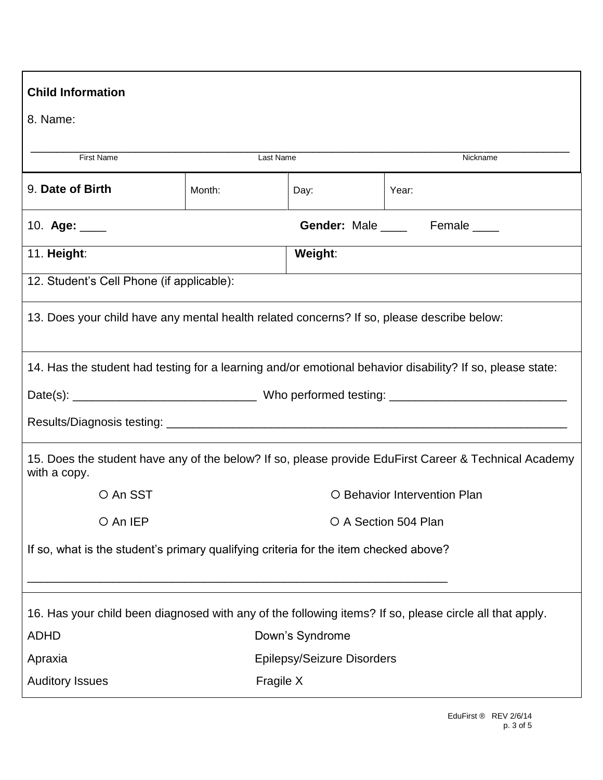| <b>Child Information</b>                                                                                |                                   |      |          |                                                                                                           |
|---------------------------------------------------------------------------------------------------------|-----------------------------------|------|----------|-----------------------------------------------------------------------------------------------------------|
| 8. Name:                                                                                                |                                   |      |          |                                                                                                           |
| First Name                                                                                              | Last Name                         |      | Nickname |                                                                                                           |
| 9. Date of Birth                                                                                        | Month:                            | Day: |          | Year:                                                                                                     |
| Gender: Male _____ Female ____<br>10. Age: ____                                                         |                                   |      |          |                                                                                                           |
| 11. Height:                                                                                             | Weight:                           |      |          |                                                                                                           |
| 12. Student's Cell Phone (if applicable):                                                               |                                   |      |          |                                                                                                           |
| 13. Does your child have any mental health related concerns? If so, please describe below:              |                                   |      |          |                                                                                                           |
|                                                                                                         |                                   |      |          | 14. Has the student had testing for a learning and/or emotional behavior disability? If so, please state: |
|                                                                                                         |                                   |      |          |                                                                                                           |
|                                                                                                         |                                   |      |          |                                                                                                           |
| with a copy.                                                                                            |                                   |      |          | 15. Does the student have any of the below? If so, please provide EduFirst Career & Technical Academy     |
| O An SST                                                                                                | O Behavior Intervention Plan      |      |          |                                                                                                           |
| O An IEP<br>O A Section 504 Plan                                                                        |                                   |      |          |                                                                                                           |
| If so, what is the student's primary qualifying criteria for the item checked above?                    |                                   |      |          |                                                                                                           |
| 16. Has your child been diagnosed with any of the following items? If so, please circle all that apply. |                                   |      |          |                                                                                                           |
| <b>ADHD</b>                                                                                             | Down's Syndrome                   |      |          |                                                                                                           |
| Apraxia                                                                                                 | <b>Epilepsy/Seizure Disorders</b> |      |          |                                                                                                           |
| <b>Auditory Issues</b><br>Fragile X                                                                     |                                   |      |          |                                                                                                           |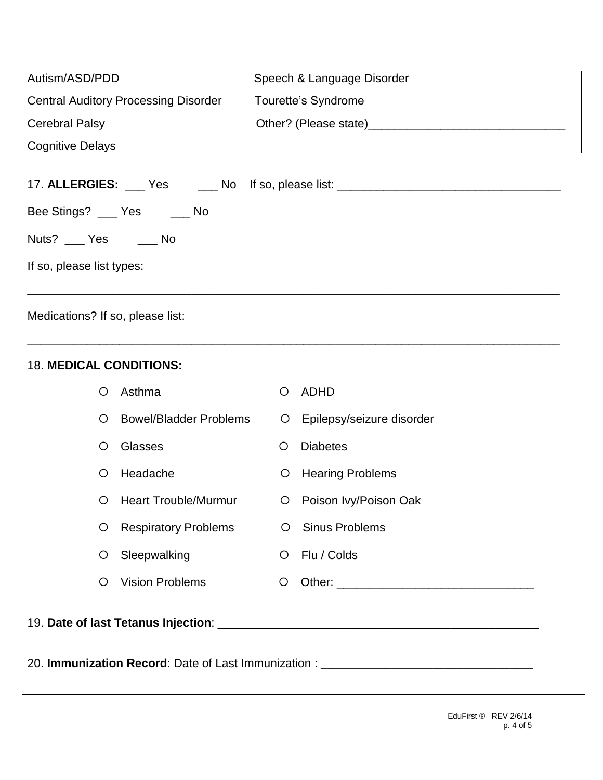| Autism/ASD/PDD                                                                   | Speech & Language Disorder                                                       |  |  |  |  |  |
|----------------------------------------------------------------------------------|----------------------------------------------------------------------------------|--|--|--|--|--|
| <b>Central Auditory Processing Disorder</b>                                      | Tourette's Syndrome                                                              |  |  |  |  |  |
| <b>Cerebral Palsy</b>                                                            |                                                                                  |  |  |  |  |  |
| <b>Cognitive Delays</b>                                                          | <u> 1989 - Andrea Stadt Britain, amerikansk politik (d. 1989)</u>                |  |  |  |  |  |
|                                                                                  | 17. ALLERGIES: ___ Yes _____ No If so, please list: ____________________________ |  |  |  |  |  |
| Bee Stings? ___ Yes ___ No                                                       |                                                                                  |  |  |  |  |  |
| Nuts? ___ Yes ___ No                                                             |                                                                                  |  |  |  |  |  |
| If so, please list types:                                                        |                                                                                  |  |  |  |  |  |
|                                                                                  |                                                                                  |  |  |  |  |  |
| Medications? If so, please list:                                                 |                                                                                  |  |  |  |  |  |
|                                                                                  |                                                                                  |  |  |  |  |  |
| <b>18. MEDICAL CONDITIONS:</b>                                                   |                                                                                  |  |  |  |  |  |
| Asthma<br>Ő                                                                      | ADHD<br>O                                                                        |  |  |  |  |  |
| <b>Bowel/Bladder Problems</b><br>$\circ$                                         | Epilepsy/seizure disorder<br>$\circ$                                             |  |  |  |  |  |
| Glasses<br>$\circ$                                                               | <b>Diabetes</b><br>$\circ$                                                       |  |  |  |  |  |
| Headache<br>Ő                                                                    | <b>Hearing Problems</b><br>$\circ$                                               |  |  |  |  |  |
| <b>Heart Trouble/Murmur</b><br>O                                                 | Poison Ivy/Poison Oak<br>$\circ$                                                 |  |  |  |  |  |
| <b>Respiratory Problems</b><br>O                                                 | <b>Sinus Problems</b><br>$\circ$                                                 |  |  |  |  |  |
| Sleepwalking<br>$\circ$                                                          | Flu / Colds<br>$\circ$                                                           |  |  |  |  |  |
| <b>Vision Problems</b><br>$\circ$                                                | $\circ$                                                                          |  |  |  |  |  |
|                                                                                  |                                                                                  |  |  |  |  |  |
| 20. Immunization Record: Date of Last Immunization : ___________________________ |                                                                                  |  |  |  |  |  |